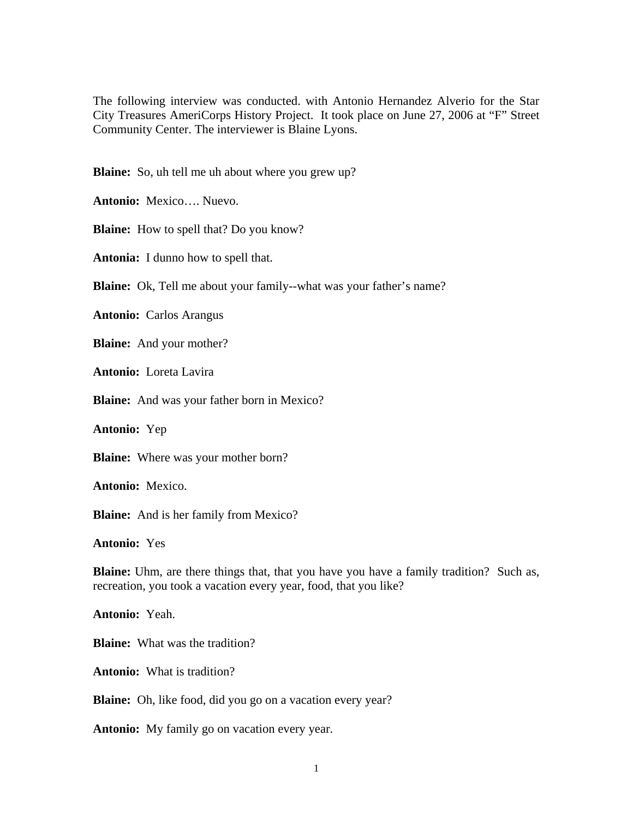The following interview was conducted. with Antonio Hernandez Alverio for the Star City Treasures AmeriCorps History Project. It took place on June 27, 2006 at "F" Street Community Center. The interviewer is Blaine Lyons.

**Blaine:** So, uh tell me uh about where you grew up?

**Antonio:** Mexico…. Nuevo.

**Blaine:** How to spell that? Do you know?

**Antonia:** I dunno how to spell that.

**Blaine:** Ok, Tell me about your family--what was your father's name?

**Antonio:** Carlos Arangus

**Blaine:** And your mother?

**Antonio:** Loreta Lavira

**Blaine:** And was your father born in Mexico?

**Antonio:** Yep

**Blaine:** Where was your mother born?

**Antonio:** Mexico.

**Blaine:** And is her family from Mexico?

**Antonio:** Yes

**Blaine:** Uhm, are there things that, that you have you have a family tradition? Such as, recreation, you took a vacation every year, food, that you like?

**Antonio:** Yeah.

**Blaine:** What was the tradition?

**Antonio:** What is tradition?

**Blaine:** Oh, like food, did you go on a vacation every year?

**Antonio:** My family go on vacation every year.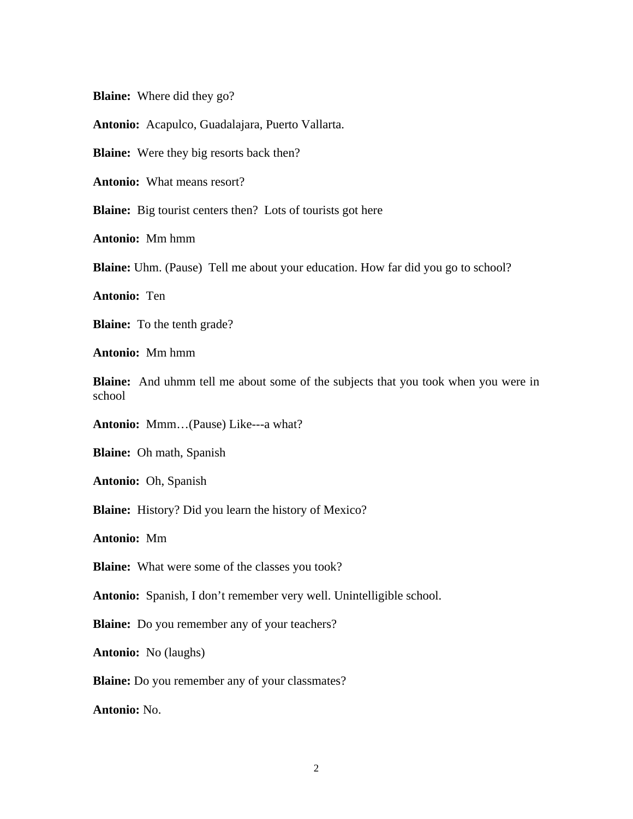**Blaine:** Where did they go?

**Antonio:** Acapulco, Guadalajara, Puerto Vallarta.

**Blaine:** Were they big resorts back then?

**Antonio:** What means resort?

**Blaine:** Big tourist centers then? Lots of tourists got here

**Antonio:** Mm hmm

**Blaine:** Uhm. (Pause) Tell me about your education. How far did you go to school?

**Antonio:** Ten

**Blaine:** To the tenth grade?

**Antonio:** Mm hmm

**Blaine:** And uhmm tell me about some of the subjects that you took when you were in school

**Antonio:** Mmm…(Pause) Like---a what?

**Blaine:** Oh math, Spanish

**Antonio:** Oh, Spanish

**Blaine:** History? Did you learn the history of Mexico?

**Antonio:** Mm

**Blaine:** What were some of the classes you took?

**Antonio:** Spanish, I don't remember very well. Unintelligible school.

**Blaine:** Do you remember any of your teachers?

**Antonio:** No (laughs)

**Blaine:** Do you remember any of your classmates?

**Antonio:** No.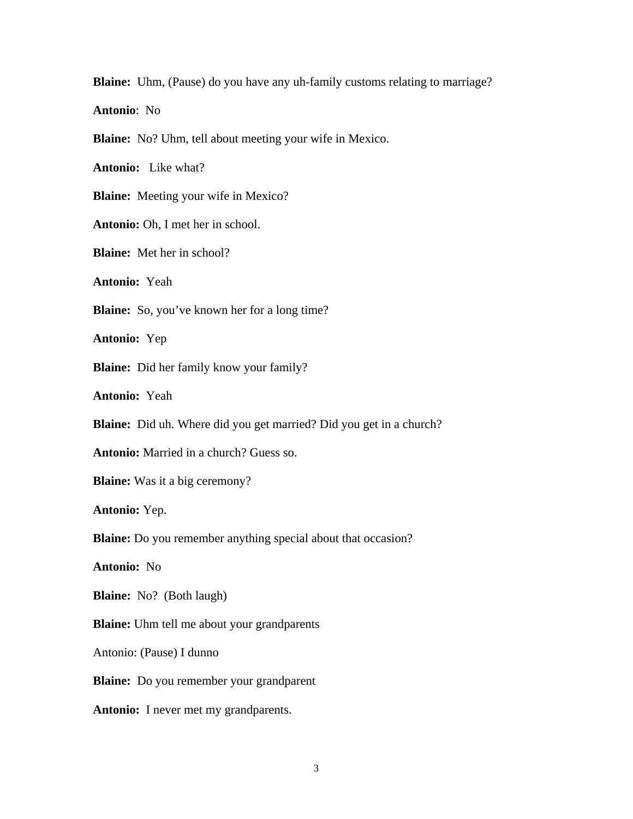**Blaine:** Uhm, (Pause) do you have any uh-family customs relating to marriage?

**Antonio**: No

**Blaine:** No? Uhm, tell about meeting your wife in Mexico.

**Antonio:** Like what?

**Blaine:** Meeting your wife in Mexico?

**Antonio:** Oh, I met her in school.

**Blaine:** Met her in school?

**Antonio:** Yeah

**Blaine:** So, you've known her for a long time?

**Antonio:** Yep

**Blaine:** Did her family know your family?

**Antonio:** Yeah

**Blaine:** Did uh. Where did you get married? Did you get in a church?

**Antonio:** Married in a church? Guess so.

**Blaine:** Was it a big ceremony?

**Antonio:** Yep.

**Blaine:** Do you remember anything special about that occasion?

**Antonio:** No

**Blaine:** No? (Both laugh)

**Blaine:** Uhm tell me about your grandparents

Antonio: (Pause) I dunno

**Blaine:** Do you remember your grandparent

**Antonio:** I never met my grandparents.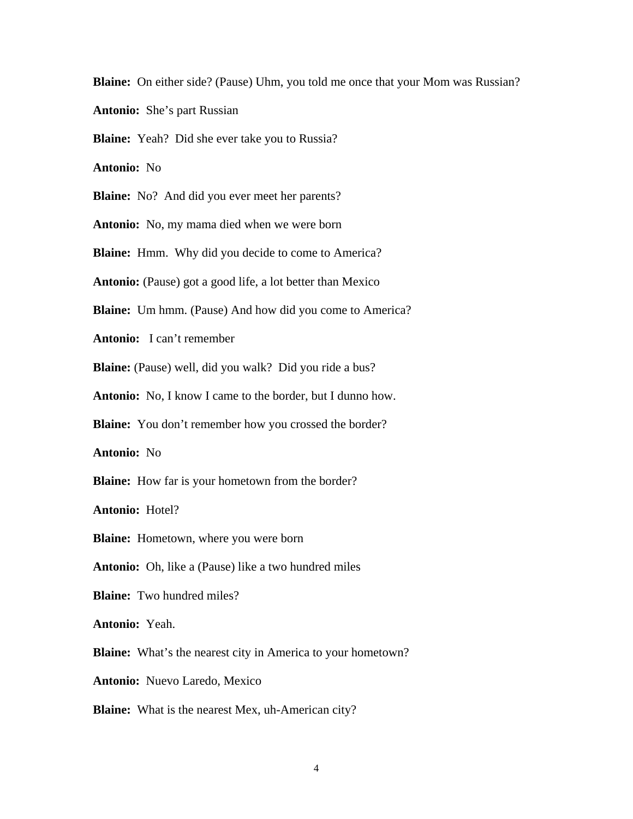**Blaine:** On either side? (Pause) Uhm, you told me once that your Mom was Russian?

**Antonio:** She's part Russian

**Blaine:** Yeah? Did she ever take you to Russia?

**Antonio:** No

**Blaine:** No? And did you ever meet her parents?

**Antonio:** No, my mama died when we were born

**Blaine:** Hmm. Why did you decide to come to America?

**Antonio:** (Pause) got a good life, a lot better than Mexico

**Blaine:** Um hmm. (Pause) And how did you come to America?

**Antonio:** I can't remember

**Blaine:** (Pause) well, did you walk? Did you ride a bus?

**Antonio:** No, I know I came to the border, but I dunno how.

**Blaine:** You don't remember how you crossed the border?

**Antonio:** No

**Blaine:** How far is your hometown from the border?

**Antonio:** Hotel?

**Blaine:** Hometown, where you were born

**Antonio:** Oh, like a (Pause) like a two hundred miles

**Blaine:** Two hundred miles?

**Antonio:** Yeah.

**Blaine:** What's the nearest city in America to your hometown?

**Antonio:** Nuevo Laredo, Mexico

**Blaine:** What is the nearest Mex, uh-American city?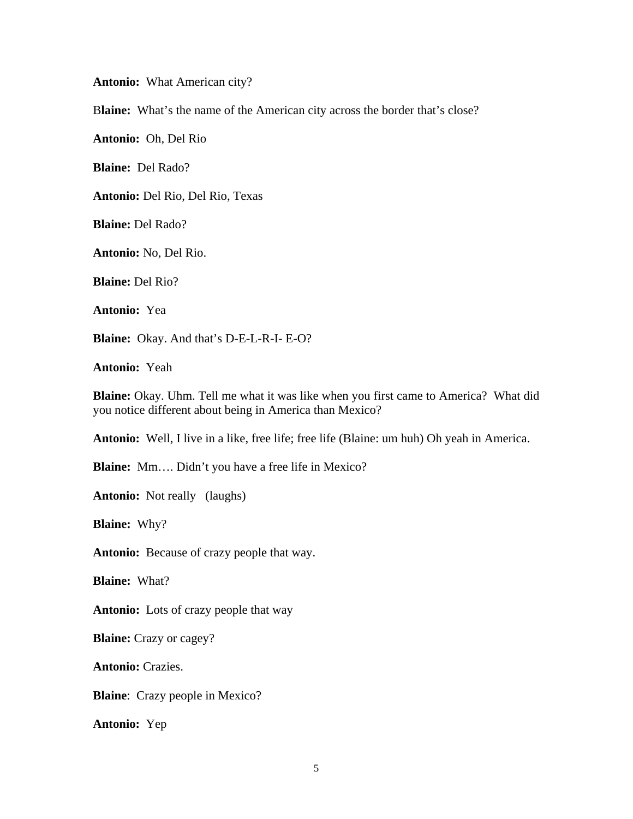**Antonio:** What American city?

B**laine:** What's the name of the American city across the border that's close?

**Antonio:** Oh, Del Rio

**Blaine:** Del Rado?

**Antonio:** Del Rio, Del Rio, Texas

**Blaine:** Del Rado?

**Antonio:** No, Del Rio.

**Blaine:** Del Rio?

**Antonio:** Yea

**Blaine:** Okay. And that's D-E-L-R-I- E-O?

**Antonio:** Yeah

**Blaine:** Okay. Uhm. Tell me what it was like when you first came to America? What did you notice different about being in America than Mexico?

**Antonio:** Well, I live in a like, free life; free life (Blaine: um huh) Oh yeah in America.

**Blaine:** Mm…. Didn't you have a free life in Mexico?

**Antonio:** Not really (laughs)

**Blaine:** Why?

**Antonio:** Because of crazy people that way.

**Blaine:** What?

**Antonio:** Lots of crazy people that way

**Blaine:** Crazy or cagey?

**Antonio:** Crazies.

**Blaine**: Crazy people in Mexico?

**Antonio:** Yep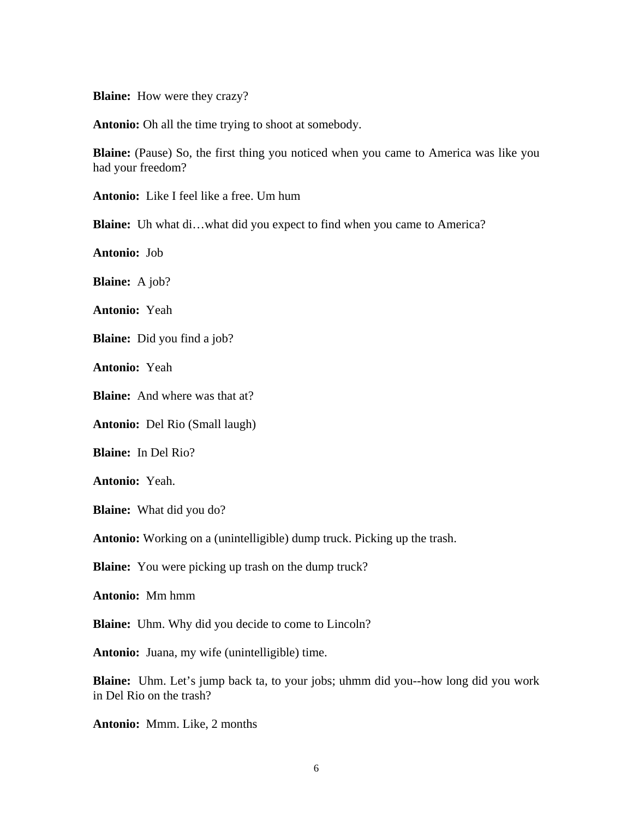**Blaine:** How were they crazy?

**Antonio:** Oh all the time trying to shoot at somebody.

**Blaine:** (Pause) So, the first thing you noticed when you came to America was like you had your freedom?

**Antonio:** Like I feel like a free. Um hum

**Blaine:** Uh what di…what did you expect to find when you came to America?

**Antonio:** Job

**Blaine:** A job?

**Antonio:** Yeah

**Blaine:** Did you find a job?

**Antonio:** Yeah

**Blaine:** And where was that at?

**Antonio:** Del Rio (Small laugh)

**Blaine:** In Del Rio?

**Antonio:** Yeah.

**Blaine:** What did you do?

**Antonio:** Working on a (unintelligible) dump truck. Picking up the trash.

**Blaine:** You were picking up trash on the dump truck?

**Antonio:** Mm hmm

**Blaine:** Uhm. Why did you decide to come to Lincoln?

**Antonio:** Juana, my wife (unintelligible) time.

**Blaine:** Uhm. Let's jump back ta, to your jobs; uhmm did you--how long did you work in Del Rio on the trash?

**Antonio:** Mmm. Like, 2 months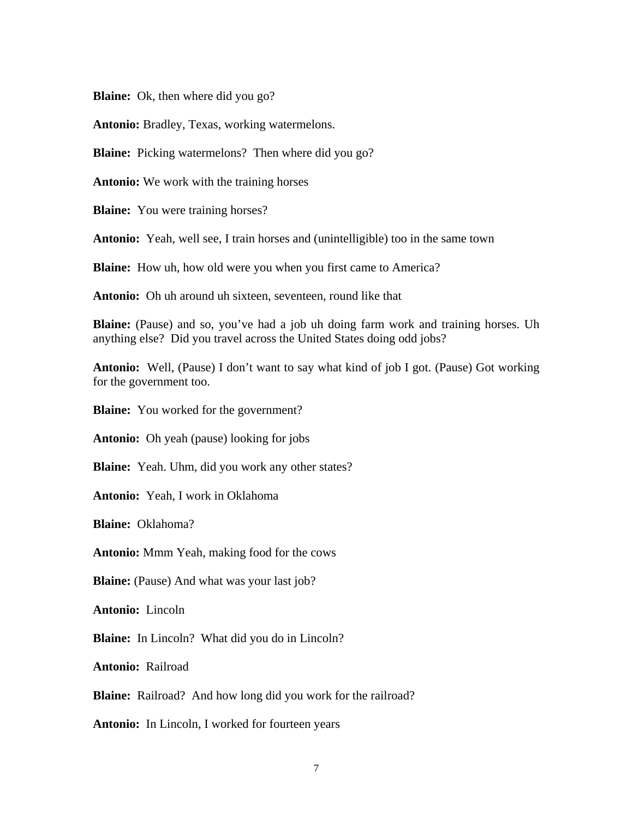**Blaine:** Ok, then where did you go?

**Antonio:** Bradley, Texas, working watermelons.

**Blaine:** Picking watermelons? Then where did you go?

**Antonio:** We work with the training horses

**Blaine:** You were training horses?

**Antonio:** Yeah, well see, I train horses and (unintelligible) too in the same town

**Blaine:** How uh, how old were you when you first came to America?

**Antonio:** Oh uh around uh sixteen, seventeen, round like that

**Blaine:** (Pause) and so, you've had a job uh doing farm work and training horses. Uh anything else? Did you travel across the United States doing odd jobs?

**Antonio:** Well, (Pause) I don't want to say what kind of job I got. (Pause) Got working for the government too.

**Blaine:** You worked for the government?

**Antonio:** Oh yeah (pause) looking for jobs

**Blaine:** Yeah. Uhm, did you work any other states?

**Antonio:** Yeah, I work in Oklahoma

**Blaine:** Oklahoma?

**Antonio:** Mmm Yeah, making food for the cows

**Blaine:** (Pause) And what was your last job?

**Antonio:** Lincoln

**Blaine:** In Lincoln? What did you do in Lincoln?

**Antonio:** Railroad

**Blaine:** Railroad? And how long did you work for the railroad?

**Antonio:** In Lincoln, I worked for fourteen years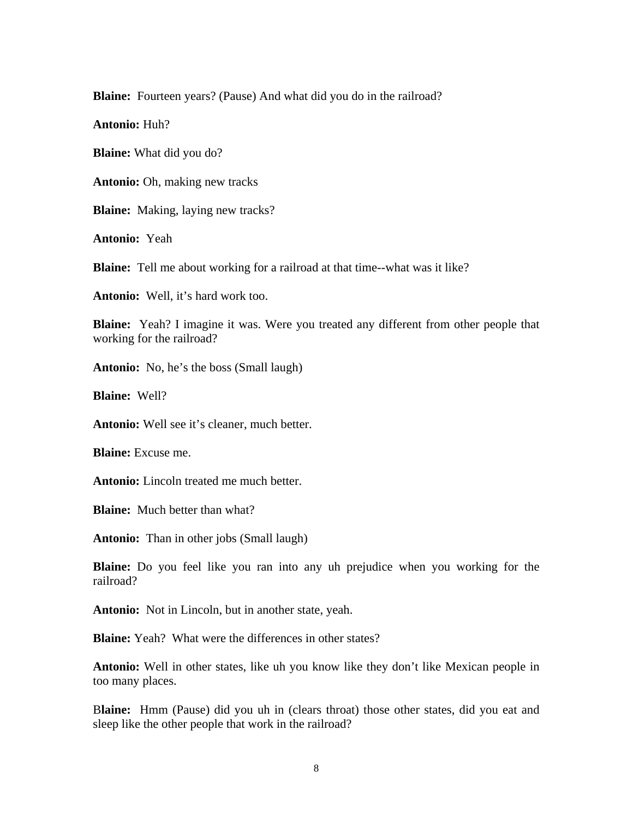**Blaine:** Fourteen years? (Pause) And what did you do in the railroad?

**Antonio:** Huh?

**Blaine:** What did you do?

**Antonio:** Oh, making new tracks

**Blaine:** Making, laying new tracks?

**Antonio:** Yeah

**Blaine:** Tell me about working for a railroad at that time--what was it like?

**Antonio:** Well, it's hard work too.

**Blaine:** Yeah? I imagine it was. Were you treated any different from other people that working for the railroad?

**Antonio:** No, he's the boss (Small laugh)

**Blaine:** Well?

**Antonio:** Well see it's cleaner, much better.

**Blaine:** Excuse me.

**Antonio:** Lincoln treated me much better.

**Blaine:** Much better than what?

**Antonio:** Than in other jobs (Small laugh)

**Blaine:** Do you feel like you ran into any uh prejudice when you working for the railroad?

**Antonio:** Not in Lincoln, but in another state, yeah.

**Blaine:** Yeah? What were the differences in other states?

**Antonio:** Well in other states, like uh you know like they don't like Mexican people in too many places.

B**laine:** Hmm (Pause) did you uh in (clears throat) those other states, did you eat and sleep like the other people that work in the railroad?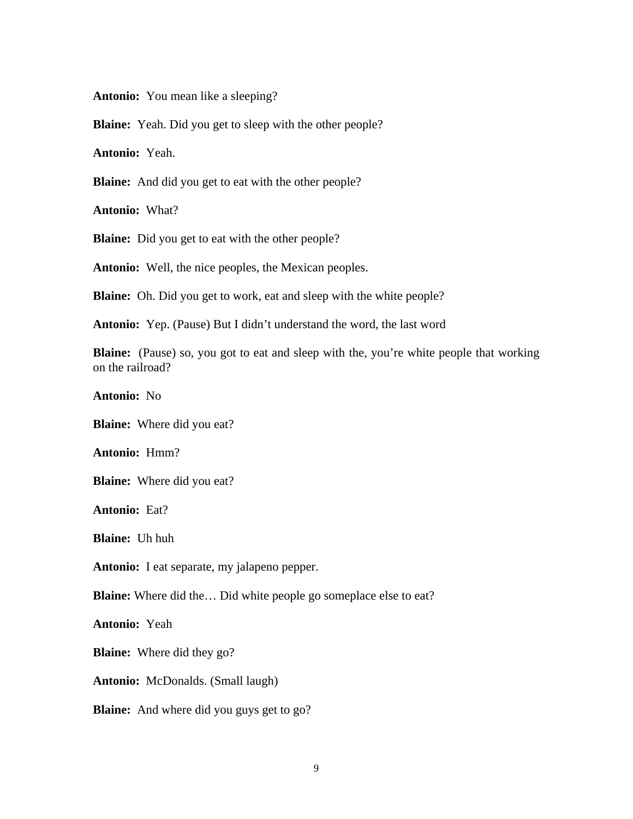**Antonio:** You mean like a sleeping?

**Blaine:** Yeah. Did you get to sleep with the other people?

**Antonio:** Yeah.

**Blaine:** And did you get to eat with the other people?

**Antonio:** What?

**Blaine:** Did you get to eat with the other people?

**Antonio:** Well, the nice peoples, the Mexican peoples.

**Blaine:** Oh. Did you get to work, eat and sleep with the white people?

**Antonio:** Yep. (Pause) But I didn't understand the word, the last word

**Blaine:** (Pause) so, you got to eat and sleep with the, you're white people that working on the railroad?

**Antonio:** No

**Blaine:** Where did you eat?

**Antonio:** Hmm?

**Blaine:** Where did you eat?

**Antonio:** Eat?

**Blaine:** Uh huh

**Antonio:** I eat separate, my jalapeno pepper.

**Blaine:** Where did the… Did white people go someplace else to eat?

**Antonio:** Yeah

**Blaine:** Where did they go?

**Antonio:** McDonalds. (Small laugh)

**Blaine:** And where did you guys get to go?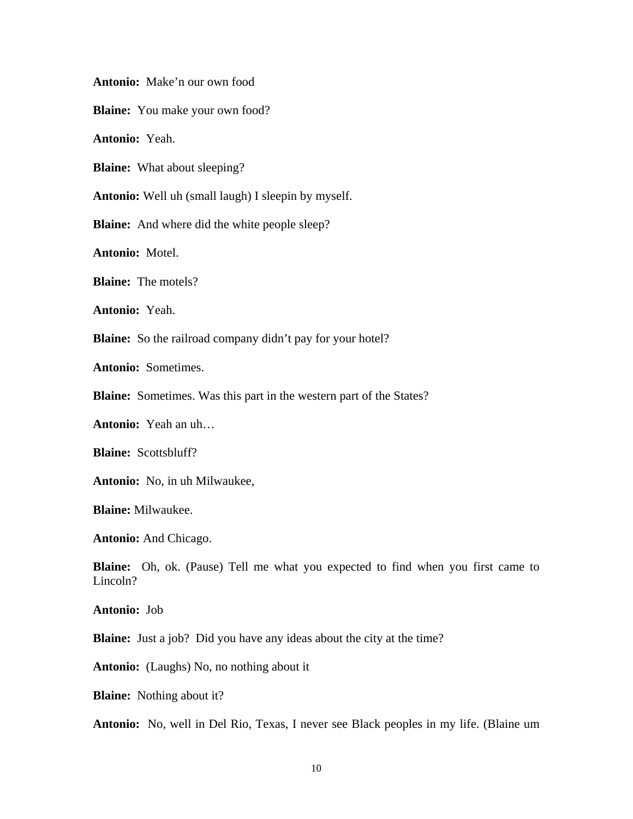**Antonio:** Make'n our own food

**Blaine:** You make your own food?

**Antonio:** Yeah.

**Blaine:** What about sleeping?

**Antonio:** Well uh (small laugh) I sleepin by myself.

**Blaine:** And where did the white people sleep?

**Antonio:** Motel.

**Blaine:** The motels?

**Antonio:** Yeah.

**Blaine:** So the railroad company didn't pay for your hotel?

**Antonio:** Sometimes.

**Blaine:** Sometimes. Was this part in the western part of the States?

**Antonio:** Yeah an uh…

**Blaine:** Scottsbluff?

**Antonio:** No, in uh Milwaukee,

**Blaine:** Milwaukee.

**Antonio:** And Chicago.

**Blaine:** Oh, ok. (Pause) Tell me what you expected to find when you first came to Lincoln?

**Antonio:** Job

**Blaine:** Just a job? Did you have any ideas about the city at the time?

**Antonio:** (Laughs) No, no nothing about it

**Blaine:** Nothing about it?

**Antonio:** No, well in Del Rio, Texas, I never see Black peoples in my life. (Blaine um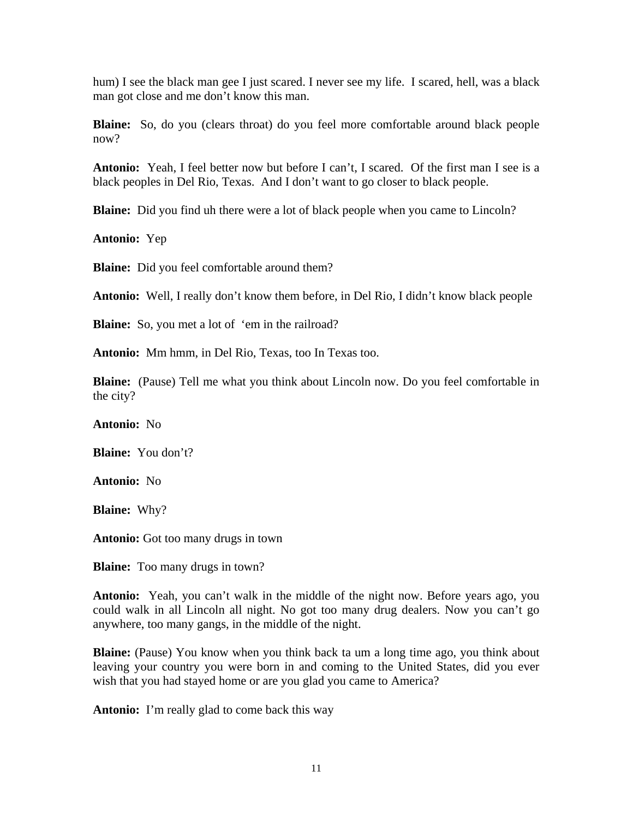hum) I see the black man gee I just scared. I never see my life. I scared, hell, was a black man got close and me don't know this man.

**Blaine:** So, do you (clears throat) do you feel more comfortable around black people now?

**Antonio:** Yeah, I feel better now but before I can't, I scared. Of the first man I see is a black peoples in Del Rio, Texas. And I don't want to go closer to black people.

**Blaine:** Did you find uh there were a lot of black people when you came to Lincoln?

**Antonio:** Yep

**Blaine:** Did you feel comfortable around them?

**Antonio:** Well, I really don't know them before, in Del Rio, I didn't know black people

**Blaine:** So, you met a lot of 'em in the railroad?

**Antonio:** Mm hmm, in Del Rio, Texas, too In Texas too.

**Blaine:** (Pause) Tell me what you think about Lincoln now. Do you feel comfortable in the city?

**Antonio:** No

**Blaine:** You don't?

**Antonio:** No

**Blaine:** Why?

**Antonio:** Got too many drugs in town

**Blaine:** Too many drugs in town?

**Antonio:** Yeah, you can't walk in the middle of the night now. Before years ago, you could walk in all Lincoln all night. No got too many drug dealers. Now you can't go anywhere, too many gangs, in the middle of the night.

**Blaine:** (Pause) You know when you think back ta um a long time ago, you think about leaving your country you were born in and coming to the United States, did you ever wish that you had stayed home or are you glad you came to America?

**Antonio:** I'm really glad to come back this way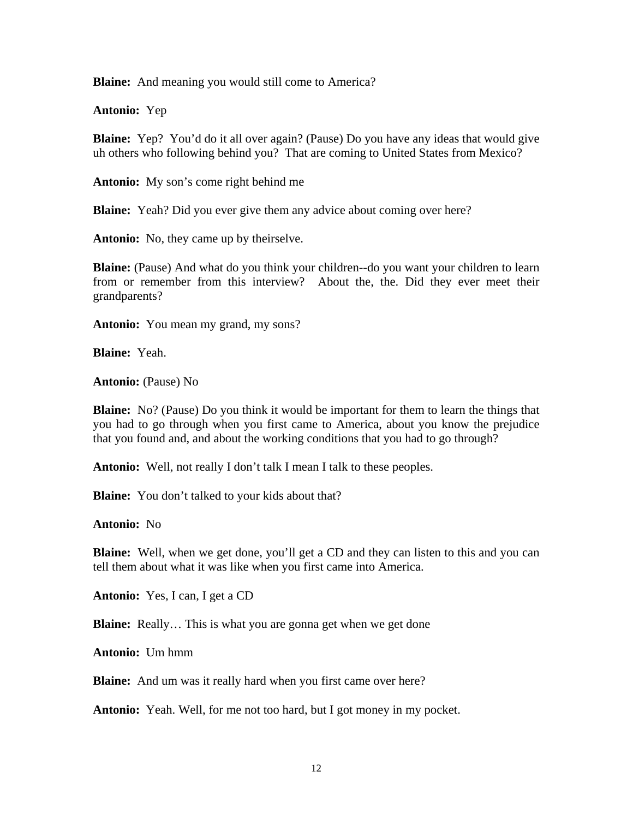**Blaine:** And meaning you would still come to America?

**Antonio:** Yep

**Blaine:** Yep? You'd do it all over again? (Pause) Do you have any ideas that would give uh others who following behind you? That are coming to United States from Mexico?

**Antonio:** My son's come right behind me

**Blaine:** Yeah? Did you ever give them any advice about coming over here?

**Antonio:** No, they came up by theirselve.

**Blaine:** (Pause) And what do you think your children--do you want your children to learn from or remember from this interview? About the, the. Did they ever meet their grandparents?

**Antonio:** You mean my grand, my sons?

**Blaine:** Yeah.

**Antonio:** (Pause) No

**Blaine:** No? (Pause) Do you think it would be important for them to learn the things that you had to go through when you first came to America, about you know the prejudice that you found and, and about the working conditions that you had to go through?

**Antonio:** Well, not really I don't talk I mean I talk to these peoples.

**Blaine:** You don't talked to your kids about that?

**Antonio:** No

**Blaine:** Well, when we get done, you'll get a CD and they can listen to this and you can tell them about what it was like when you first came into America.

**Antonio:** Yes, I can, I get a CD

**Blaine:** Really... This is what you are gonna get when we get done

**Antonio:** Um hmm

**Blaine:** And um was it really hard when you first came over here?

**Antonio:** Yeah. Well, for me not too hard, but I got money in my pocket.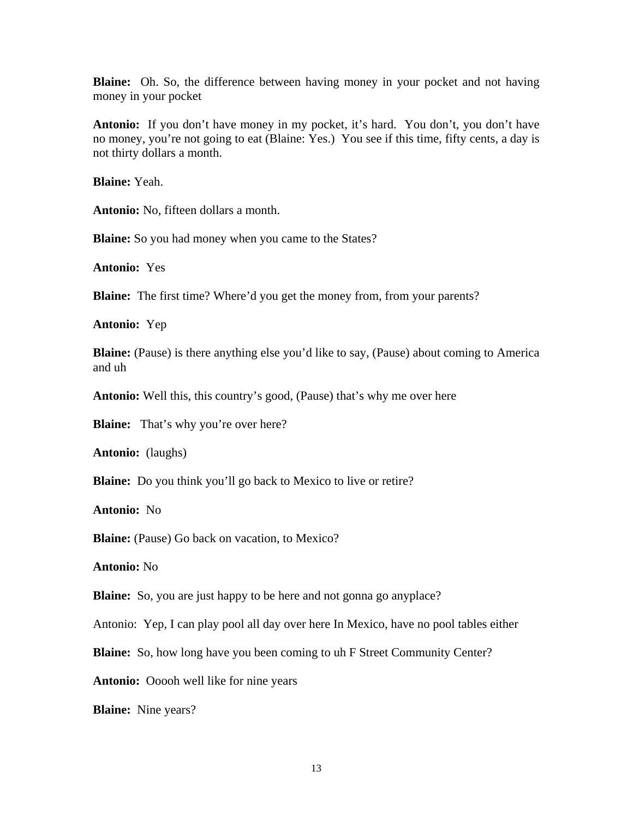**Blaine:** Oh. So, the difference between having money in your pocket and not having money in your pocket

**Antonio:** If you don't have money in my pocket, it's hard. You don't, you don't have no money, you're not going to eat (Blaine: Yes.) You see if this time, fifty cents, a day is not thirty dollars a month.

**Blaine:** Yeah.

**Antonio:** No, fifteen dollars a month.

**Blaine:** So you had money when you came to the States?

**Antonio:** Yes

**Blaine:** The first time? Where'd you get the money from, from your parents?

**Antonio:** Yep

**Blaine:** (Pause) is there anything else you'd like to say, (Pause) about coming to America and uh

**Antonio:** Well this, this country's good, (Pause) that's why me over here

**Blaine:** That's why you're over here?

**Antonio:** (laughs)

**Blaine:** Do you think you'll go back to Mexico to live or retire?

**Antonio:** No

**Blaine:** (Pause) Go back on vacation, to Mexico?

**Antonio:** No

**Blaine:** So, you are just happy to be here and not gonna go anyplace?

Antonio: Yep, I can play pool all day over here In Mexico, have no pool tables either

**Blaine:** So, how long have you been coming to uh F Street Community Center?

**Antonio:** Ooooh well like for nine years

**Blaine:** Nine years?